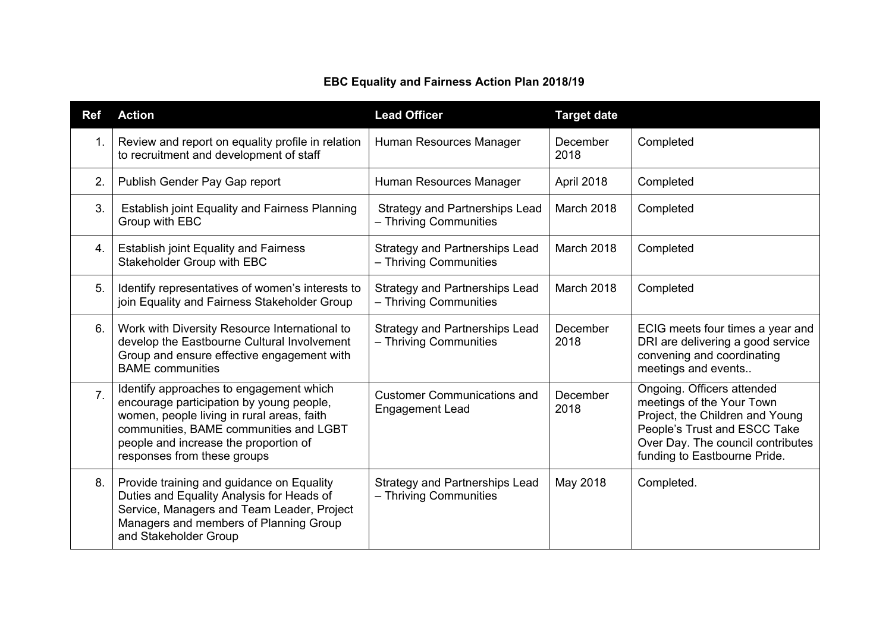## **EBC Equality and Fairness Action Plan 2018/19**

| <b>Ref</b> | <b>Action</b>                                                                                                                                                                                                                                       | <b>Lead Officer</b>                                             | <b>Target date</b> |                                                                                                                                                                                                 |
|------------|-----------------------------------------------------------------------------------------------------------------------------------------------------------------------------------------------------------------------------------------------------|-----------------------------------------------------------------|--------------------|-------------------------------------------------------------------------------------------------------------------------------------------------------------------------------------------------|
| 1.         | Review and report on equality profile in relation<br>to recruitment and development of staff                                                                                                                                                        | Human Resources Manager                                         | December<br>2018   | Completed                                                                                                                                                                                       |
| 2.         | Publish Gender Pay Gap report                                                                                                                                                                                                                       | Human Resources Manager                                         | April 2018         | Completed                                                                                                                                                                                       |
| 3.         | <b>Establish joint Equality and Fairness Planning</b><br>Group with EBC                                                                                                                                                                             | <b>Strategy and Partnerships Lead</b><br>- Thriving Communities | March 2018         | Completed                                                                                                                                                                                       |
| 4.         | <b>Establish joint Equality and Fairness</b><br>Stakeholder Group with EBC                                                                                                                                                                          | <b>Strategy and Partnerships Lead</b><br>- Thriving Communities | March 2018         | Completed                                                                                                                                                                                       |
| 5.         | Identify representatives of women's interests to<br>join Equality and Fairness Stakeholder Group                                                                                                                                                    | <b>Strategy and Partnerships Lead</b><br>- Thriving Communities | March 2018         | Completed                                                                                                                                                                                       |
| 6.         | Work with Diversity Resource International to<br>develop the Eastbourne Cultural Involvement<br>Group and ensure effective engagement with<br><b>BAME</b> communities                                                                               | <b>Strategy and Partnerships Lead</b><br>- Thriving Communities | December<br>2018   | ECIG meets four times a year and<br>DRI are delivering a good service<br>convening and coordinating<br>meetings and events                                                                      |
| 7.         | Identify approaches to engagement which<br>encourage participation by young people,<br>women, people living in rural areas, faith<br>communities, BAME communities and LGBT<br>people and increase the proportion of<br>responses from these groups | <b>Customer Communications and</b><br><b>Engagement Lead</b>    | December<br>2018   | Ongoing. Officers attended<br>meetings of the Your Town<br>Project, the Children and Young<br>People's Trust and ESCC Take<br>Over Day. The council contributes<br>funding to Eastbourne Pride. |
| 8.         | Provide training and guidance on Equality<br>Duties and Equality Analysis for Heads of<br>Service, Managers and Team Leader, Project<br>Managers and members of Planning Group<br>and Stakeholder Group                                             | <b>Strategy and Partnerships Lead</b><br>- Thriving Communities | May 2018           | Completed.                                                                                                                                                                                      |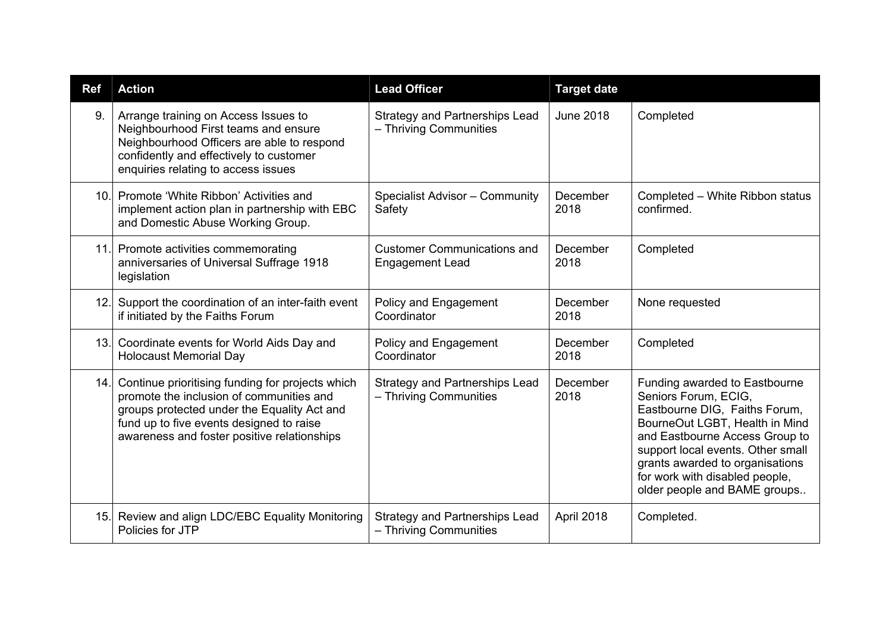| <b>Ref</b> | <b>Action</b>                                                                                                                                                                                                                          | <b>Lead Officer</b>                                             | <b>Target date</b> |                                                                                                                                                                                                                                                                                                      |
|------------|----------------------------------------------------------------------------------------------------------------------------------------------------------------------------------------------------------------------------------------|-----------------------------------------------------------------|--------------------|------------------------------------------------------------------------------------------------------------------------------------------------------------------------------------------------------------------------------------------------------------------------------------------------------|
| 9.         | Arrange training on Access Issues to<br>Neighbourhood First teams and ensure<br>Neighbourhood Officers are able to respond<br>confidently and effectively to customer<br>enquiries relating to access issues                           | <b>Strategy and Partnerships Lead</b><br>- Thriving Communities | <b>June 2018</b>   | Completed                                                                                                                                                                                                                                                                                            |
| 10.1       | Promote 'White Ribbon' Activities and<br>implement action plan in partnership with EBC<br>and Domestic Abuse Working Group.                                                                                                            | Specialist Advisor - Community<br>Safety                        | December<br>2018   | Completed - White Ribbon status<br>confirmed.                                                                                                                                                                                                                                                        |
|            | 11. Promote activities commemorating<br>anniversaries of Universal Suffrage 1918<br>legislation                                                                                                                                        | <b>Customer Communications and</b><br><b>Engagement Lead</b>    | December<br>2018   | Completed                                                                                                                                                                                                                                                                                            |
| 12.1       | Support the coordination of an inter-faith event<br>if initiated by the Faiths Forum                                                                                                                                                   | Policy and Engagement<br>Coordinator                            | December<br>2018   | None requested                                                                                                                                                                                                                                                                                       |
| 13.        | Coordinate events for World Aids Day and<br><b>Holocaust Memorial Day</b>                                                                                                                                                              | Policy and Engagement<br>Coordinator                            | December<br>2018   | Completed                                                                                                                                                                                                                                                                                            |
| 14.        | Continue prioritising funding for projects which<br>promote the inclusion of communities and<br>groups protected under the Equality Act and<br>fund up to five events designed to raise<br>awareness and foster positive relationships | <b>Strategy and Partnerships Lead</b><br>- Thriving Communities | December<br>2018   | Funding awarded to Eastbourne<br>Seniors Forum, ECIG,<br>Eastbourne DIG, Faiths Forum,<br>BourneOut LGBT, Health in Mind<br>and Eastbourne Access Group to<br>support local events. Other small<br>grants awarded to organisations<br>for work with disabled people,<br>older people and BAME groups |
| 15.        | Review and align LDC/EBC Equality Monitoring<br>Policies for JTP                                                                                                                                                                       | <b>Strategy and Partnerships Lead</b><br>- Thriving Communities | April 2018         | Completed.                                                                                                                                                                                                                                                                                           |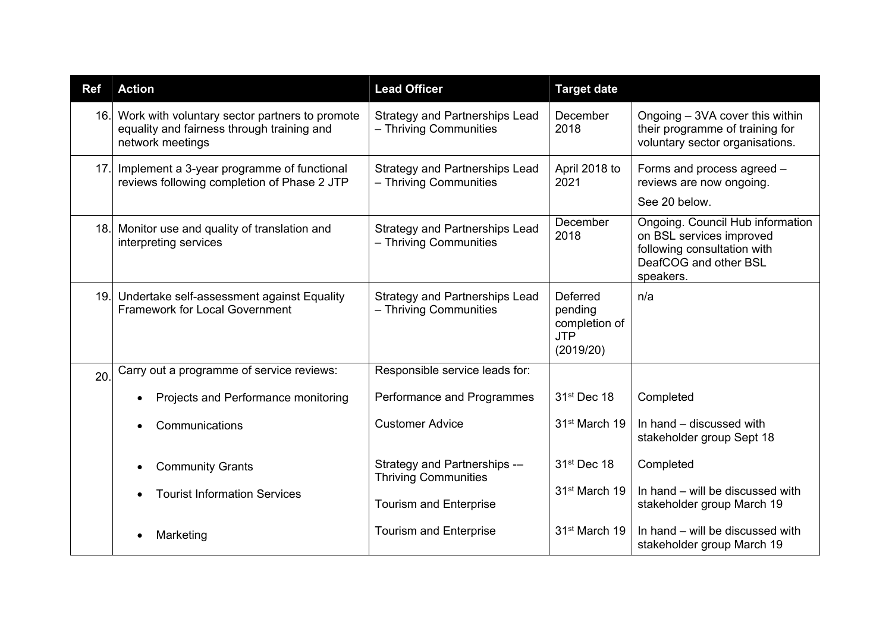| <b>Ref</b> | <b>Action</b>                                                                                                    | <b>Lead Officer</b>                                             | <b>Target date</b>                                              |                                                                                                                                   |
|------------|------------------------------------------------------------------------------------------------------------------|-----------------------------------------------------------------|-----------------------------------------------------------------|-----------------------------------------------------------------------------------------------------------------------------------|
| 16.        | Work with voluntary sector partners to promote<br>equality and fairness through training and<br>network meetings | <b>Strategy and Partnerships Lead</b><br>- Thriving Communities | December<br>2018                                                | Ongoing - 3VA cover this within<br>their programme of training for<br>voluntary sector organisations.                             |
| 17.        | Implement a 3-year programme of functional<br>reviews following completion of Phase 2 JTP                        | <b>Strategy and Partnerships Lead</b><br>- Thriving Communities | April 2018 to<br>2021                                           | Forms and process agreed -<br>reviews are now ongoing.<br>See 20 below.                                                           |
| 18.        | Monitor use and quality of translation and<br>interpreting services                                              | <b>Strategy and Partnerships Lead</b><br>- Thriving Communities | December<br>2018                                                | Ongoing. Council Hub information<br>on BSL services improved<br>following consultation with<br>DeafCOG and other BSL<br>speakers. |
| 19.        | Undertake self-assessment against Equality<br><b>Framework for Local Government</b>                              | <b>Strategy and Partnerships Lead</b><br>- Thriving Communities | Deferred<br>pending<br>completion of<br><b>JTP</b><br>(2019/20) | n/a                                                                                                                               |
| 20.        | Carry out a programme of service reviews:                                                                        | Responsible service leads for:                                  |                                                                 |                                                                                                                                   |
|            | Projects and Performance monitoring                                                                              | Performance and Programmes                                      | 31 <sup>st</sup> Dec 18                                         | Completed                                                                                                                         |
|            | Communications                                                                                                   | <b>Customer Advice</b>                                          | 31 <sup>st</sup> March 19                                       | In hand – discussed with<br>stakeholder group Sept 18                                                                             |
|            | <b>Community Grants</b>                                                                                          | Strategy and Partnerships -<br><b>Thriving Communities</b>      | 31st Dec 18                                                     | Completed                                                                                                                         |
|            | <b>Tourist Information Services</b>                                                                              | <b>Tourism and Enterprise</b>                                   | 31 <sup>st</sup> March 19                                       | In hand – will be discussed with<br>stakeholder group March 19                                                                    |
|            | Marketing                                                                                                        | <b>Tourism and Enterprise</b>                                   | 31 <sup>st</sup> March 19                                       | In hand – will be discussed with<br>stakeholder group March 19                                                                    |